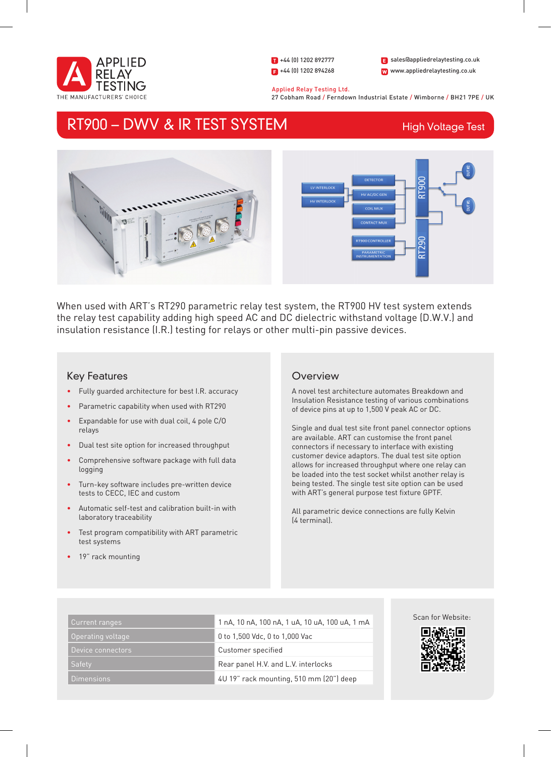

1 +44 (0) 1202 892777  $\Box$  +44 (0) 1202 894268 W www.appliedrelaytesting.co.uk sales@appliedrelaytesting.co.uk

 Applied Relay Testing Ltd. 27 Cobham Road / Ferndown Industrial Estate / Wimborne / BH21 7PE / UK

# RT900 – DWV & IR TEST SYSTEM

High Voltage Test



When used with ART's RT290 parametric relay test system, the RT900 HV test system extends the relay test capability adding high speed AC and DC dielectric withstand voltage (D.W.V.) and insulation resistance (I.R.) testing for relays or other multi-pin passive devices.

### Key Features

- Fully guarded architecture for best I.R. accuracy
- Parametric capability when used with RT290
- Expandable for use with dual coil, 4 pole C/O relays
- Dual test site option for increased throughput
- Comprehensive software package with full data logging
- Turn-key software includes pre-written device tests to CECC, IEC and custom
- Automatic self-test and calibration built-in with laboratory traceability
- Test program compatibility with ART parametric test systems
- 19" rack mounting

### **Overview**

A novel test architecture automates Breakdown and Insulation Resistance testing of various combinations of device pins at up to 1,500 V peak AC or DC.

Single and dual test site front panel connector options are available. ART can customise the front panel connectors if necessary to interface with existing customer device adaptors. The dual test site option allows for increased throughput where one relay can be loaded into the test socket whilst another relay is being tested. The single test site option can be used with ART's general purpose test fixture GPTF.

All parametric device connections are fully Kelvin (4 terminal).

| Current ranges    | 1 nA, 10 nA, 100 nA, 1 uA, 10 uA, 100 uA, 1 mA |
|-------------------|------------------------------------------------|
| Operating voltage | 0 to 1,500 Vdc, 0 to 1,000 Vac                 |
| Device connectors | Customer specified                             |
| Safety            | Rear panel H.V. and L.V. interlocks            |
| <b>Dimensions</b> | 4U 19" rack mounting, 510 mm (20") deep        |